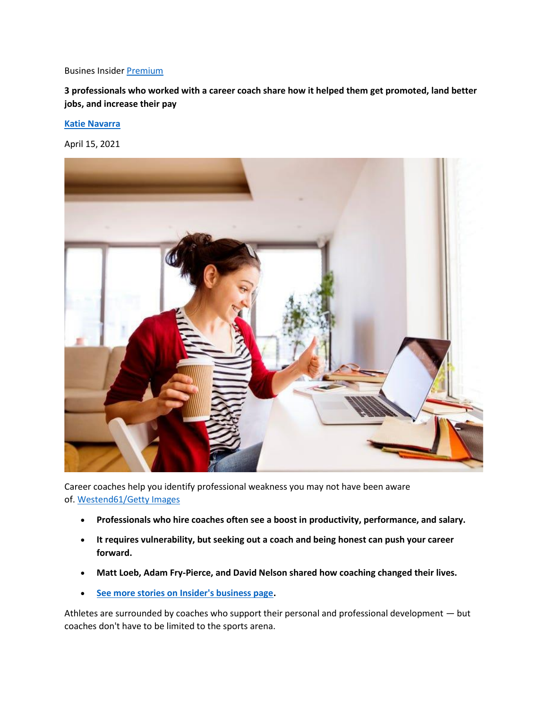## Busines Insider [Premium](https://www.businessinsider.com/premium)

**3 professionals who worked with a career coach share how it helped them get promoted, land better jobs, and increase their pay**

## **[Katie Navarra](https://www.businessinsider.com/author/katie-navarra)**

April 15, 2021



Career coaches help you identify professional weakness you may not have been aware of. [Westend61/Getty Images](https://www.gettyimages.com/detail/photo/smiling-woman-with-coffee-to-go-at-desk-at-home-royalty-free-image/758302213)

- **Professionals who hire coaches often see a boost in productivity, performance, and salary.**
- **It requires vulnerability, but seeking out a coach and being honest can push your career forward.**
- **Matt Loeb, Adam Fry-Pierce, and David Nelson shared how coaching changed their lives.**
- **[See more stories on Insider's business page.](https://www.businessinsider.com/?hprecirc-bullet)**

Athletes are surrounded by coaches who support their personal and professional development — but coaches don't have to be limited to the sports arena.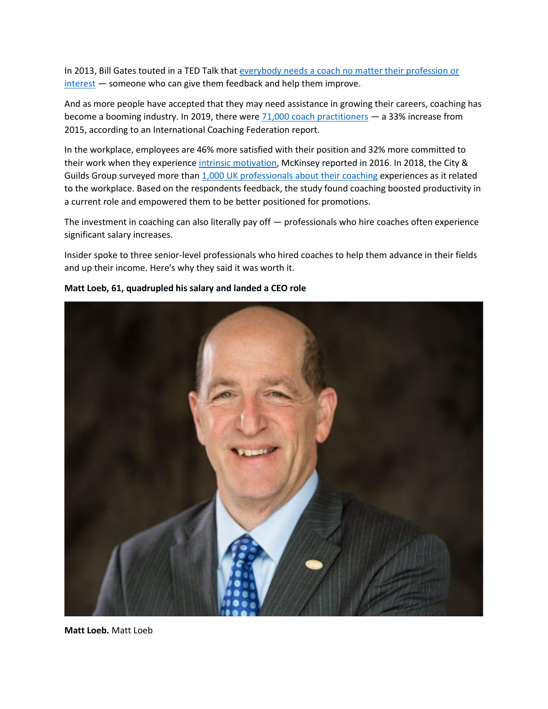In 2013, Bill Gates touted in a TED Talk that [everybody needs a coach no matter their profession or](https://www.youtube.com/watch?v=XLF90uwII1k)  [interest](https://www.youtube.com/watch?v=XLF90uwII1k) — someone who can give them feedback and help them improve.

And as more people have accepted that they may need assistance in growing their careers, coaching has become a booming industry. In 2019, there were  $71,000$  coach practitioners - a 33% increase from 2015, according to an International Coaching Federation report.

In the workplace, employees are 46% more satisfied with their position and 32% more committed to their work when they experience [intrinsic motivation,](https://www.mckinsey.com/business-functions/organization/our-insights/why-frontline-workers-are-disengaged) McKinsey reported in 2016. In 2018, the City & Guilds Group surveyed more than [1,000 UK professionals about their coaching](https://www.cityandguildsgroup.com/whats-happening/news/employers-not-offering-coaching-risk-future-performance-and-productivity-john-yates) experiences as it related to the workplace. Based on the respondents feedback, the study found coaching boosted productivity in a current role and empowered them to be better positioned for promotions.

The investment in coaching can also literally pay off — professionals who hire coaches often experience significant salary increases.

Insider spoke to three senior-level professionals who hired coaches to help them advance in their fields and up their income. Here's why they said it was worth it.



## **Matt Loeb, 61, quadrupled his salary and landed a CEO role**

**Matt Loeb.** Matt Loeb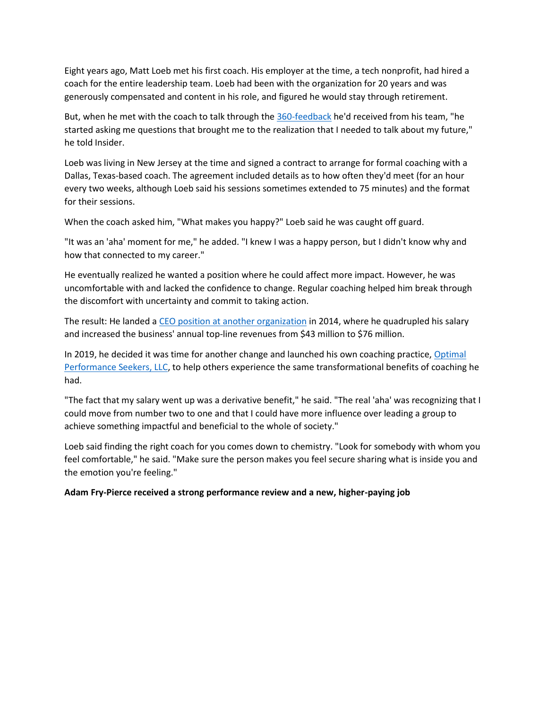Eight years ago, Matt Loeb met his first coach. His employer at the time, a tech nonprofit, had hired a coach for the entire leadership team. Loeb had been with the organization for 20 years and was generously compensated and content in his role, and figured he would stay through retirement.

But, when he met with the coach to talk through the [360-feedback](https://www.custominsight.com/360-degree-feedback/what-is-360-degree-feedback.asp) he'd received from his team, "he started asking me questions that brought me to the realization that I needed to talk about my future," he told Insider.

Loeb was living in New Jersey at the time and signed a contract to arrange for formal coaching with a Dallas, Texas-based coach. The agreement included details as to how often they'd meet (for an hour every two weeks, although Loeb said his sessions sometimes extended to 75 minutes) and the format for their sessions.

When the coach asked him, "What makes you happy?" Loeb said he was caught off guard.

"It was an 'aha' moment for me," he added. "I knew I was a happy person, but I didn't know why and how that connected to my career."

He eventually realized he wanted a position where he could affect more impact. However, he was uncomfortable with and lacked the confidence to change. Regular coaching helped him break through the discomfort with uncertainty and commit to taking action.

The result: He landed a [CEO position at another organization](https://www.excelsior.edu/about/leadership/trustees/matt-loeb/) in 2014, where he quadrupled his salary and increased the business' annual top-line revenues from \$43 million to \$76 million.

In 2019, he decided it was time for another change and launched his own coaching practice, [Optimal](https://www.linkedin.com/in/mattloeb/)  [Performance Seekers, LLC,](https://www.linkedin.com/in/mattloeb/) to help others experience the same transformational benefits of coaching he had.

"The fact that my salary went up was a derivative benefit," he said. "The real 'aha' was recognizing that I could move from number two to one and that I could have more influence over leading a group to achieve something impactful and beneficial to the whole of society."

Loeb said finding the right coach for you comes down to chemistry. "Look for somebody with whom you feel comfortable," he said. "Make sure the person makes you feel secure sharing what is inside you and the emotion you're feeling."

**Adam Fry-Pierce received a strong performance review and a new, higher-paying job**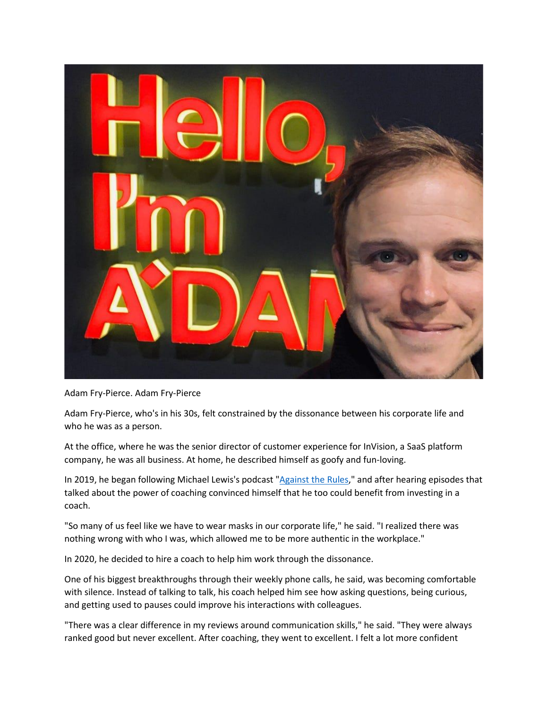

Adam Fry-Pierce. Adam Fry-Pierce

Adam Fry-Pierce, who's in his 30s, felt constrained by the dissonance between his corporate life and who he was as a person.

At the office, where he was the senior director of customer experience for InVision, a SaaS platform company, he was all business. At home, he described himself as goofy and fun-loving.

In 2019, he began following Michael Lewis's podcast ["Against the Rules,](https://atrpodcast.com/episodes)" and after hearing episodes that talked about the power of coaching convinced himself that he too could benefit from investing in a coach.

"So many of us feel like we have to wear masks in our corporate life," he said. "I realized there was nothing wrong with who I was, which allowed me to be more authentic in the workplace."

In 2020, he decided to hire a coach to help him work through the dissonance.

One of his biggest breakthroughs through their weekly phone calls, he said, was becoming comfortable with silence. Instead of talking to talk, his coach helped him see how asking questions, being curious, and getting used to pauses could improve his interactions with colleagues.

"There was a clear difference in my reviews around communication skills," he said. "They were always ranked good but never excellent. After coaching, they went to excellent. I felt a lot more confident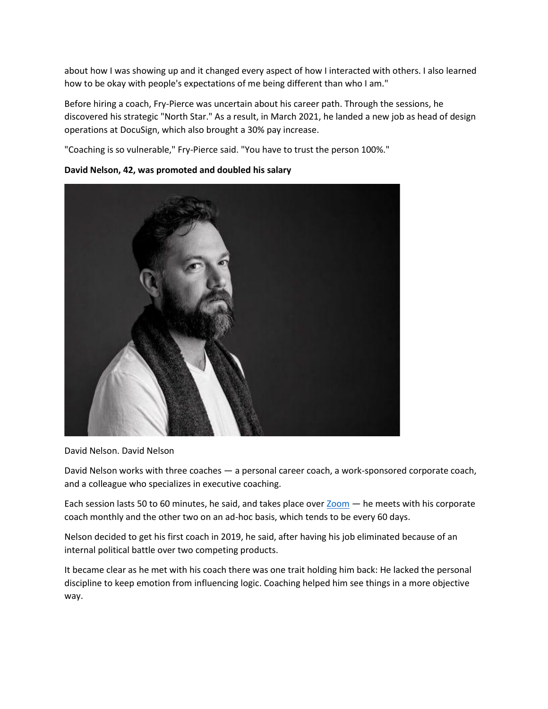about how I was showing up and it changed every aspect of how I interacted with others. I also learned how to be okay with people's expectations of me being different than who I am."

Before hiring a coach, Fry-Pierce was uncertain about his career path. Through the sessions, he discovered his strategic "North Star." As a result, in March 2021, he landed a new job as head of design operations at DocuSign, which also brought a 30% pay increase.

"Coaching is so vulnerable," Fry-Pierce said. "You have to trust the person 100%."



## **David Nelson, 42, was promoted and doubled his salary**

David Nelson. David Nelson

David Nelson works with three coaches — a personal career coach, a work-sponsored corporate coach, and a colleague who specializes in executive coaching.

Each session lasts 50 to 60 minutes, he said, and takes place over [Zoom](https://www.businessinsider.com/what-is-zoom-guide) — he meets with his corporate coach monthly and the other two on an ad-hoc basis, which tends to be every 60 days.

Nelson decided to get his first coach in 2019, he said, after having his job eliminated because of an internal political battle over two competing products.

It became clear as he met with his coach there was one trait holding him back: He lacked the personal discipline to keep emotion from influencing logic. Coaching helped him see things in a more objective way.